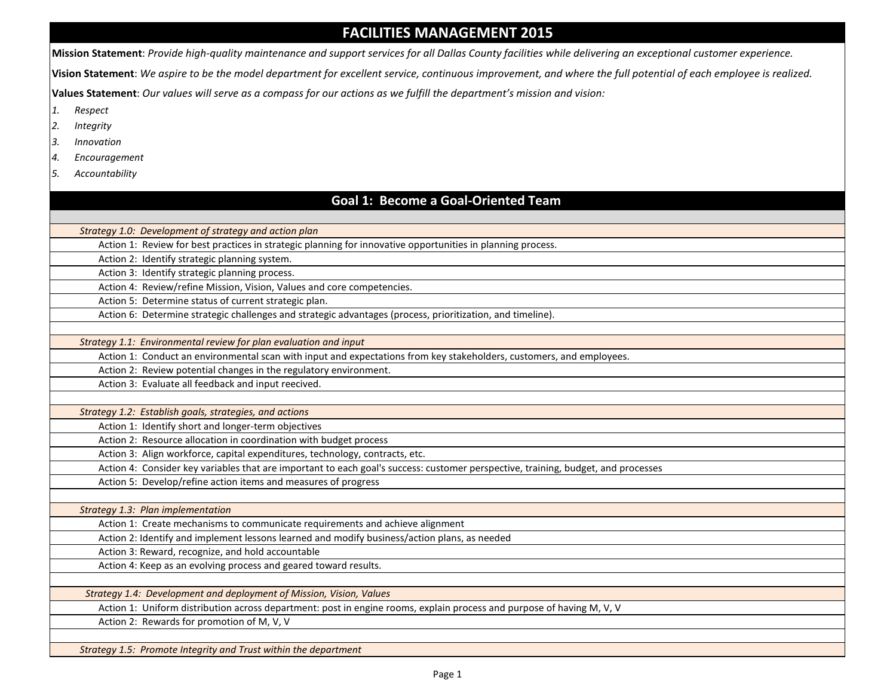## **FACILITIES MANAGEMENT 2015**

**Mission Statement**: *Provide high-quality maintenance and support services for all Dallas County facilities while delivering an exceptional customer experience.*

**Vision Statement**: *We aspire to be the model department for excellent service, continuous improvement, and where the full potential of each employee is realized.* 

**Values Statement**: *Our values will serve as a compass for our actions as we fulfill the department's mission and vision:*

- *1. Respect*
- *2. Integrity*
- *3. Innovation*
- *4. Encouragement*
- *5. Accountability*

## **Goal 1: Become a Goal-Oriented Team**

| Strategy 1.0: Development of strategy and action plan                                                                             |  |
|-----------------------------------------------------------------------------------------------------------------------------------|--|
| Action 1: Review for best practices in strategic planning for innovative opportunities in planning process.                       |  |
| Action 2: Identify strategic planning system.                                                                                     |  |
| Action 3: Identify strategic planning process.                                                                                    |  |
| Action 4: Review/refine Mission, Vision, Values and core competencies.                                                            |  |
| Action 5: Determine status of current strategic plan.                                                                             |  |
| Action 6: Determine strategic challenges and strategic advantages (process, prioritization, and timeline).                        |  |
|                                                                                                                                   |  |
| Strategy 1.1: Environmental review for plan evaluation and input                                                                  |  |
| Action 1: Conduct an environmental scan with input and expectations from key stakeholders, customers, and employees.              |  |
| Action 2: Review potential changes in the regulatory environment.                                                                 |  |
| Action 3: Evaluate all feedback and input reecived.                                                                               |  |
|                                                                                                                                   |  |
| Strategy 1.2: Establish goals, strategies, and actions                                                                            |  |
| Action 1: Identify short and longer-term objectives                                                                               |  |
| Action 2: Resource allocation in coordination with budget process                                                                 |  |
| Action 3: Align workforce, capital expenditures, technology, contracts, etc.                                                      |  |
| Action 4: Consider key variables that are important to each goal's success: customer perspective, training, budget, and processes |  |
| Action 5: Develop/refine action items and measures of progress                                                                    |  |
|                                                                                                                                   |  |
| Strategy 1.3: Plan implementation                                                                                                 |  |
| Action 1: Create mechanisms to communicate requirements and achieve alignment                                                     |  |
| Action 2: Identify and implement lessons learned and modify business/action plans, as needed                                      |  |
| Action 3: Reward, recognize, and hold accountable                                                                                 |  |
| Action 4: Keep as an evolving process and geared toward results.                                                                  |  |
|                                                                                                                                   |  |
| Strategy 1.4: Development and deployment of Mission, Vision, Values                                                               |  |
| Action 1: Uniform distribution across department: post in engine rooms, explain process and purpose of having M, V, V             |  |
| Action 2: Rewards for promotion of M, V, V                                                                                        |  |
|                                                                                                                                   |  |
| Strategy 1.5: Promote Integrity and Trust within the department                                                                   |  |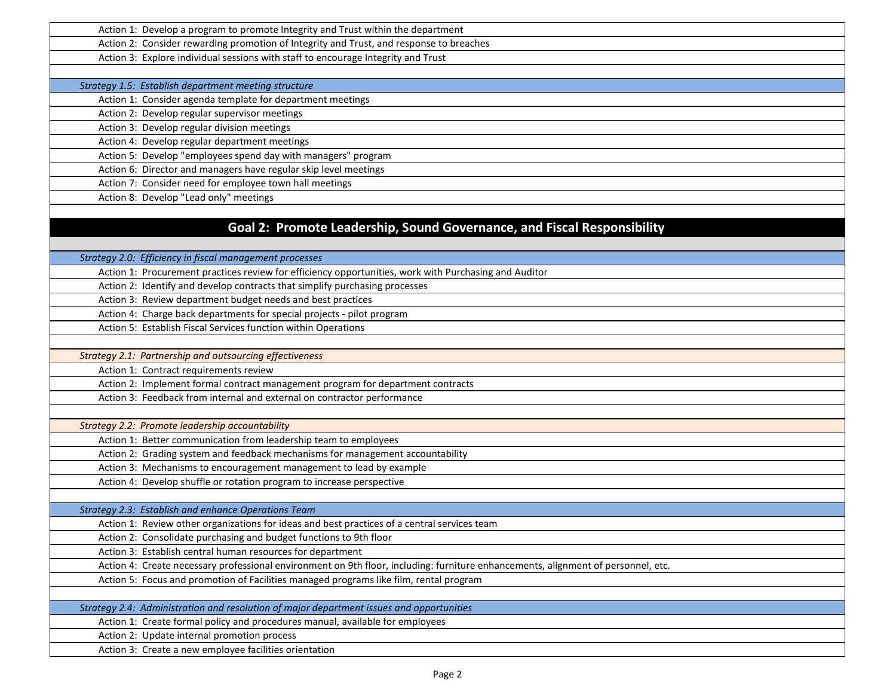| Action 1: Develop a program to promote Integrity and Trust within the department                                                  |
|-----------------------------------------------------------------------------------------------------------------------------------|
| Action 2: Consider rewarding promotion of Integrity and Trust, and response to breaches                                           |
| Action 3: Explore individual sessions with staff to encourage Integrity and Trust                                                 |
|                                                                                                                                   |
| Strategy 1.5: Establish department meeting structure                                                                              |
| Action 1: Consider agenda template for department meetings                                                                        |
| Action 2: Develop regular supervisor meetings                                                                                     |
| Action 3: Develop regular division meetings                                                                                       |
| Action 4: Develop regular department meetings                                                                                     |
| Action 5: Develop "employees spend day with managers" program                                                                     |
| Action 6: Director and managers have regular skip level meetings                                                                  |
| Action 7: Consider need for employee town hall meetings                                                                           |
| Action 8: Develop "Lead only" meetings                                                                                            |
|                                                                                                                                   |
| Goal 2: Promote Leadership, Sound Governance, and Fiscal Responsibility                                                           |
|                                                                                                                                   |
| Strategy 2.0: Efficiency in fiscal management processes                                                                           |
| Action 1: Procurement practices review for efficiency opportunities, work with Purchasing and Auditor                             |
| Action 2: Identify and develop contracts that simplify purchasing processes                                                       |
| Action 3: Review department budget needs and best practices                                                                       |
| Action 4: Charge back departments for special projects - pilot program                                                            |
| Action 5: Establish Fiscal Services function within Operations                                                                    |
|                                                                                                                                   |
| Strategy 2.1: Partnership and outsourcing effectiveness                                                                           |
| Action 1: Contract requirements review                                                                                            |
| Action 2: Implement formal contract management program for department contracts                                                   |
| Action 3: Feedback from internal and external on contractor performance                                                           |
|                                                                                                                                   |
| Strategy 2.2: Promote leadership accountability                                                                                   |
| Action 1: Better communication from leadership team to employees                                                                  |
| Action 2: Grading system and feedback mechanisms for management accountability                                                    |
| Action 3: Mechanisms to encouragement management to lead by example                                                               |
| Action 4: Develop shuffle or rotation program to increase perspective                                                             |
|                                                                                                                                   |
| Strategy 2.3: Establish and enhance Operations Team                                                                               |
| Action 1: Review other organizations for ideas and best practices of a central services team                                      |
| Action 2: Consolidate purchasing and budget functions to 9th floor                                                                |
| Action 3: Establish central human resources for department                                                                        |
| Action 4: Create necessary professional environment on 9th floor, including: furniture enhancements, alignment of personnel, etc. |
| Action 5: Focus and promotion of Facilities managed programs like film, rental program                                            |
|                                                                                                                                   |
| Strategy 2.4: Administration and resolution of major department issues and opportunities                                          |
| Action 1: Create formal policy and procedures manual, available for employees                                                     |
| Action 2: Update internal promotion process                                                                                       |
| Action 3: Create a new employee facilities orientation                                                                            |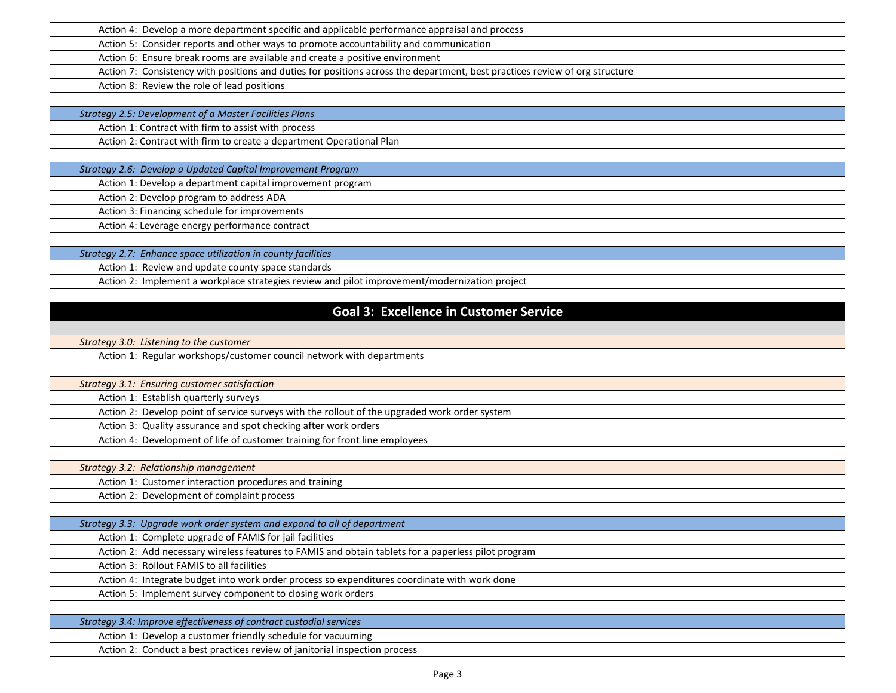| Action 4: Develop a more department specific and applicable performance appraisal and process                               |
|-----------------------------------------------------------------------------------------------------------------------------|
| Action 5: Consider reports and other ways to promote accountability and communication                                       |
| Action 6: Ensure break rooms are available and create a positive environment                                                |
| Action 7: Consistency with positions and duties for positions across the department, best practices review of org structure |
| Action 8: Review the role of lead positions                                                                                 |
|                                                                                                                             |
| Strategy 2.5: Development of a Master Facilities Plans                                                                      |
| Action 1: Contract with firm to assist with process                                                                         |
| Action 2: Contract with firm to create a department Operational Plan                                                        |
|                                                                                                                             |
| Strategy 2.6: Develop a Updated Capital Improvement Program                                                                 |
| Action 1: Develop a department capital improvement program                                                                  |
| Action 2: Develop program to address ADA                                                                                    |
| Action 3: Financing schedule for improvements                                                                               |
| Action 4: Leverage energy performance contract                                                                              |
|                                                                                                                             |
| Strategy 2.7: Enhance space utilization in county facilities                                                                |
| Action 1: Review and update county space standards                                                                          |
| Action 2: Implement a workplace strategies review and pilot improvement/modernization project                               |
|                                                                                                                             |
| <b>Goal 3: Excellence in Customer Service</b>                                                                               |
|                                                                                                                             |
| Strategy 3.0: Listening to the customer                                                                                     |
| Action 1: Regular workshops/customer council network with departments                                                       |
|                                                                                                                             |
| <b>Strategy 3.1: Ensuring customer satisfaction</b>                                                                         |
| Action 1: Establish quarterly surveys                                                                                       |
| Action 2: Develop point of service surveys with the rollout of the upgraded work order system                               |
| Action 3: Quality assurance and spot checking after work orders                                                             |
| Action 4: Development of life of customer training for front line employees                                                 |
|                                                                                                                             |
| Strategy 3.2: Relationship management                                                                                       |
| Action 1: Customer interaction procedures and training                                                                      |
| Action 2: Development of complaint process                                                                                  |
|                                                                                                                             |
| Strategy 3.3: Upgrade work order system and expand to all of department                                                     |
| Action 1: Complete upgrade of FAMIS for jail facilities                                                                     |
| Action 2: Add necessary wireless features to FAMIS and obtain tablets for a paperless pilot program                         |
| Action 3: Rollout FAMIS to all facilities                                                                                   |
| Action 4: Integrate budget into work order process so expenditures coordinate with work done                                |
| Action 5: Implement survey component to closing work orders                                                                 |
|                                                                                                                             |
| Strategy 3.4: Improve effectiveness of contract custodial services                                                          |
| Action 1: Develop a customer friendly schedule for vacuuming                                                                |
| Action 2: Conduct a best practices review of janitorial inspection process                                                  |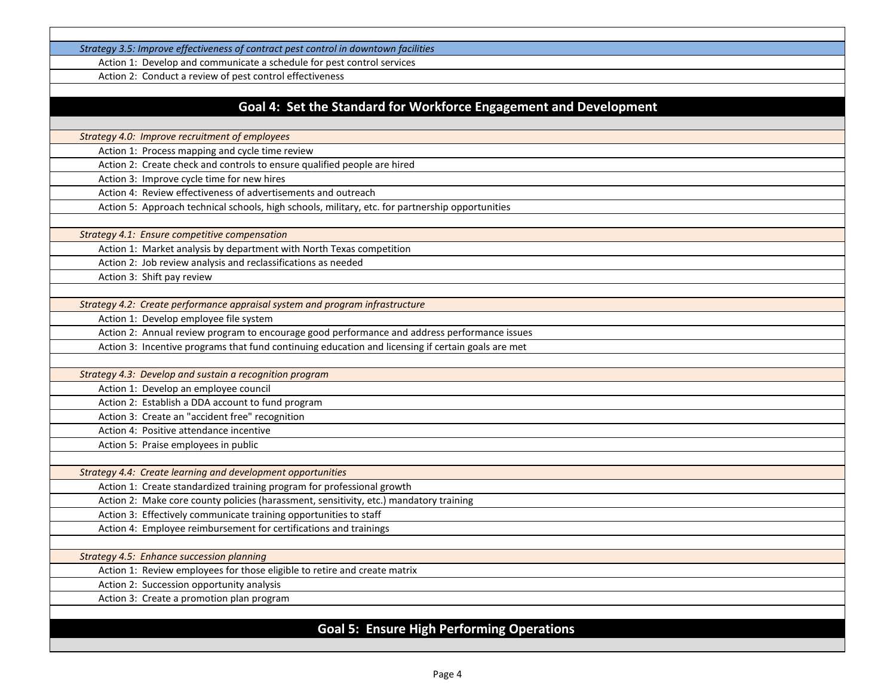*Strategy 3.5: Improve effectiveness of contract pest control in downtown facilities*

Action 1: Develop and communicate a schedule for pest control services

Action 2: Conduct a review of pest control effectiveness

## **Goal 4: Set the Standard for Workforce Engagement and Development**

*Strategy 4.0: Improve recruitment of employees*

Action 1: Process mapping and cycle time review

Action 2: Create check and controls to ensure qualified people are hired

Action 3: Improve cycle time for new hires

Action 4: Review effectiveness of advertisements and outreach

Action 5: Approach technical schools, high schools, military, etc. for partnership opportunities

*Strategy 4.1: Ensure competitive compensation*

Action 1: Market analysis by department with North Texas competition

Action 2: Job review analysis and reclassifications as needed

Action 3: Shift pay review

*Strategy 4.2: Create performance appraisal system and program infrastructure*

Action 1: Develop employee file system

Action 2: Annual review program to encourage good performance and address performance issues

Action 3: Incentive programs that fund continuing education and licensing if certain goals are met

*Strategy 4.3: Develop and sustain a recognition program*

Action 1: Develop an employee council

Action 2: Establish a DDA account to fund program

Action 3: Create an "accident free" recognition

Action 4: Positive attendance incentive Action 5: Praise employees in public

*Strategy 4.4: Create learning and development opportunities*

Action 1: Create standardized training program for professional growth

Action 2: Make core county policies (harassment, sensitivity, etc.) mandatory training

Action 3: Effectively communicate training opportunities to staff

Action 4: Employee reimbursement for certifications and trainings

*Strategy 4.5: Enhance succession planning* 

Action 1: Review employees for those eligible to retire and create matrix

Action 2: Succession opportunity analysis

Action 3: Create a promotion plan program

## **Goal 5: Ensure High Performing Operations**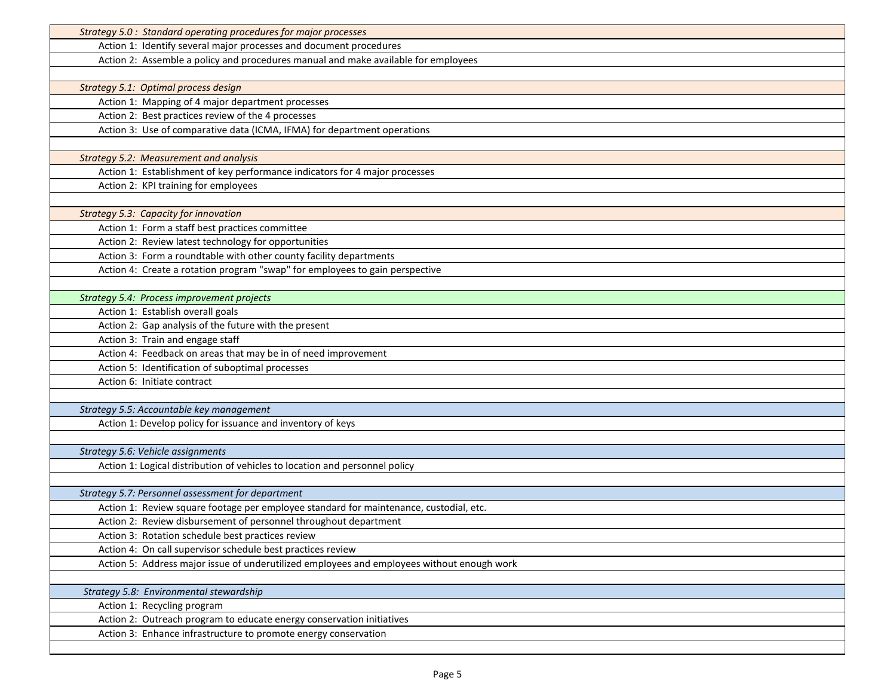| Strategy 5.0 : Standard operating procedures for major processes                           |
|--------------------------------------------------------------------------------------------|
| Action 1: Identify several major processes and document procedures                         |
| Action 2: Assemble a policy and procedures manual and make available for employees         |
|                                                                                            |
| Strategy 5.1: Optimal process design                                                       |
| Action 1: Mapping of 4 major department processes                                          |
| Action 2: Best practices review of the 4 processes                                         |
| Action 3: Use of comparative data (ICMA, IFMA) for department operations                   |
|                                                                                            |
| <b>Strategy 5.2: Measurement and analysis</b>                                              |
| Action 1: Establishment of key performance indicators for 4 major processes                |
| Action 2: KPI training for employees                                                       |
|                                                                                            |
| <b>Strategy 5.3: Capacity for innovation</b>                                               |
| Action 1: Form a staff best practices committee                                            |
| Action 2: Review latest technology for opportunities                                       |
| Action 3: Form a roundtable with other county facility departments                         |
| Action 4: Create a rotation program "swap" for employees to gain perspective               |
|                                                                                            |
| Strategy 5.4: Process improvement projects                                                 |
| Action 1: Establish overall goals                                                          |
| Action 2: Gap analysis of the future with the present                                      |
| Action 3: Train and engage staff                                                           |
| Action 4: Feedback on areas that may be in of need improvement                             |
| Action 5: Identification of suboptimal processes                                           |
| Action 6: Initiate contract                                                                |
|                                                                                            |
| Strategy 5.5: Accountable key management                                                   |
| Action 1: Develop policy for issuance and inventory of keys                                |
|                                                                                            |
| Strategy 5.6: Vehicle assignments                                                          |
| Action 1: Logical distribution of vehicles to location and personnel policy                |
|                                                                                            |
| Strategy 5.7: Personnel assessment for department                                          |
| Action 1: Review square footage per employee standard for maintenance, custodial, etc.     |
| Action 2: Review disbursement of personnel throughout department                           |
| Action 3: Rotation schedule best practices review                                          |
| Action 4: On call supervisor schedule best practices review                                |
| Action 5: Address major issue of underutilized employees and employees without enough work |
|                                                                                            |
| Strategy 5.8: Environmental stewardship<br>Action 1: Recycling program                     |
| Action 2: Outreach program to educate energy conservation initiatives                      |
| Action 3: Enhance infrastructure to promote energy conservation                            |
|                                                                                            |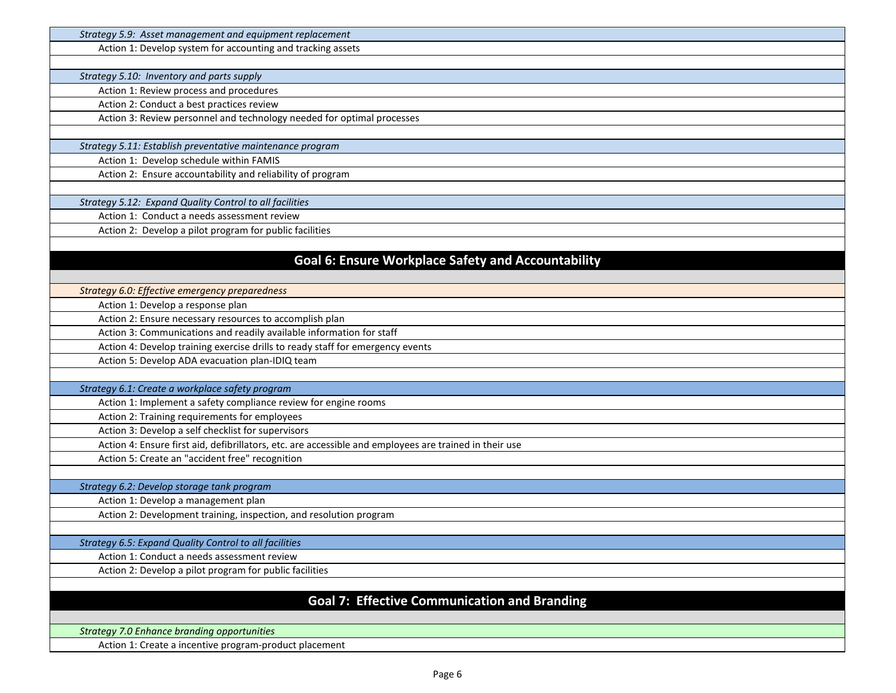| Strategy 5.9: Asset management and equipment replacement                                               |
|--------------------------------------------------------------------------------------------------------|
| Action 1: Develop system for accounting and tracking assets                                            |
|                                                                                                        |
| Strategy 5.10: Inventory and parts supply                                                              |
| Action 1: Review process and procedures                                                                |
| Action 2: Conduct a best practices review                                                              |
| Action 3: Review personnel and technology needed for optimal processes                                 |
|                                                                                                        |
| Strategy 5.11: Establish preventative maintenance program                                              |
| Action 1: Develop schedule within FAMIS                                                                |
| Action 2: Ensure accountability and reliability of program                                             |
|                                                                                                        |
| Strategy 5.12: Expand Quality Control to all facilities                                                |
| Action 1: Conduct a needs assessment review                                                            |
| Action 2: Develop a pilot program for public facilities                                                |
|                                                                                                        |
| <b>Goal 6: Ensure Workplace Safety and Accountability</b>                                              |
|                                                                                                        |
| Strategy 6.0: Effective emergency preparedness                                                         |
| Action 1: Develop a response plan                                                                      |
| Action 2: Ensure necessary resources to accomplish plan                                                |
| Action 3: Communications and readily available information for staff                                   |
| Action 4: Develop training exercise drills to ready staff for emergency events                         |
| Action 5: Develop ADA evacuation plan-IDIQ team                                                        |
|                                                                                                        |
| Strategy 6.1: Create a workplace safety program                                                        |
| Action 1: Implement a safety compliance review for engine rooms                                        |
| Action 2: Training requirements for employees                                                          |
| Action 3: Develop a self checklist for supervisors                                                     |
| Action 4: Ensure first aid, defibrillators, etc. are accessible and employees are trained in their use |
| Action 5: Create an "accident free" recognition                                                        |
|                                                                                                        |
| Strategy 6.2: Develop storage tank program                                                             |
| Action 1: Develop a management plan                                                                    |
| Action 2: Development training, inspection, and resolution program                                     |
|                                                                                                        |
| Strategy 6.5: Expand Quality Control to all facilities                                                 |
| Action 1: Conduct a needs assessment review                                                            |
| Action 2: Develop a pilot program for public facilities                                                |
|                                                                                                        |
| <b>Goal 7: Effective Communication and Branding</b>                                                    |
|                                                                                                        |
|                                                                                                        |
| <b>Strategy 7.0 Enhance branding opportunities</b>                                                     |
| Action 1: Create a incentive program-product placement                                                 |